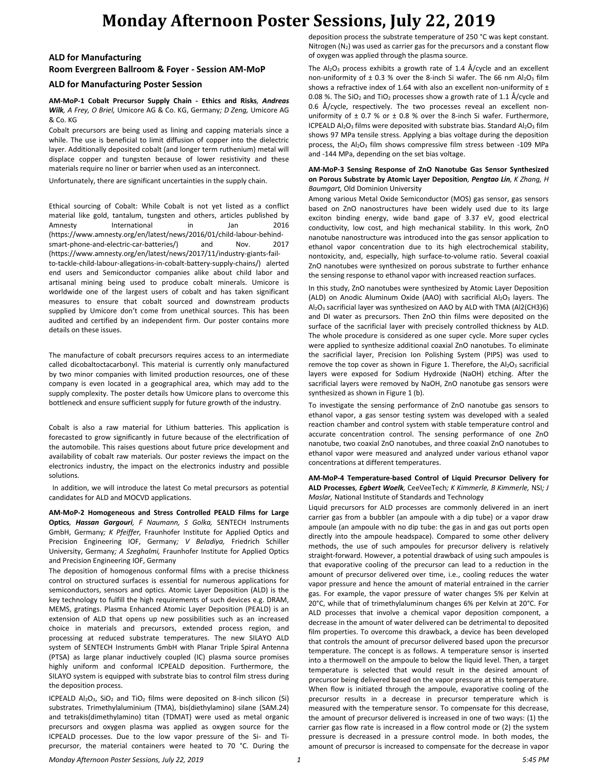## **Monday Afternoon Poster Sessions, July 22, 2019**

### **ALD for Manufacturing Room Evergreen Ballroom & Foyer - Session AM-MoP**

#### **ALD for Manufacturing Poster Session**

**AM-MoP-1 Cobalt Precursor Supply Chain - Ethics and Risks***, Andreas Wilk, A Frey, O Briel,* Umicore AG & Co. KG, Germany*; D Zeng,* Umicore AG & Co. KG

Cobalt precursors are being used as lining and capping materials since a while. The use is beneficial to limit diffusion of copper into the dielectric layer. Additionally deposited cobalt (and longer term ruthenium) metal will displace copper and tungsten because of lower resistivity and these materials require no liner or barrier when used as an interconnect.

Unfortunately, there are significant uncertainties in the supply chain.

Ethical sourcing of Cobalt: While Cobalt is not yet listed as a conflict material like gold, tantalum, tungsten and others, articles published by Amnesty International in Jan 2016 (https://www.amnesty.org/en/latest/news/2016/01/child-labour-behindsmart-phone-and-electric-car-batteries/) and Nov. 2017 (https://www.amnesty.org/en/latest/news/2017/11/industry-giants-failto-tackle-child-labour-allegations-in-cobalt-battery-supply-chains/) alerted end users and Semiconductor companies alike about child labor and artisanal mining being used to produce cobalt minerals. Umicore is worldwide one of the largest users of cobalt and has taken significant measures to ensure that cobalt sourced and downstream products supplied by Umicore don't come from unethical sources. This has been audited and certified by an independent firm. Our poster contains more details on these issues.

The manufacture of cobalt precursors requires access to an intermediate called dicobaltoctacarbonyl. This material is currently only manufactured by two minor companies with limited production resources, one of these company is even located in a geographical area, which may add to the supply complexity. The poster details how Umicore plans to overcome this bottleneck and ensure sufficient supply for future growth of the industry.

Cobalt is also a raw material for Lithium batteries. This application is forecasted to grow significantly in future because of the electrification of the automobile. This raises questions about future price development and availability of cobalt raw materials. Our poster reviews the impact on the electronics industry, the impact on the electronics industry and possible solutions.

 In addition, we will introduce the latest Co metal precursors as potential candidates for ALD and MOCVD applications.

**AM-MoP-2 Homogeneous and Stress Controlled PEALD Films for Large Optics***, Hassan Gargouri, F Naumann, S Golka,* SENTECH Instruments GmbH, Germany*; K Pfeiffer,* Fraunhofer Institute for Applied Optics and Precision Engineering IOF, Germany*; V Beladiya,* Friedrich Schiller University, Germany*; A Szeghalmi,* Fraunhofer Institute for Applied Optics and Precision Engineering IOF, Germany

The deposition of homogenous conformal films with a precise thickness control on structured surfaces is essential for numerous applications for semiconductors, sensors and optics. Atomic Layer Deposition (ALD) is the key technology to fulfill the high requirements of such devices e.g. DRAM, MEMS, gratings. Plasma Enhanced Atomic Layer Deposition (PEALD) is an extension of ALD that opens up new possibilities such as an increased choice in materials and precursors, extended process region, and processing at reduced substrate temperatures. The new SILAYO ALD system of SENTECH Instruments GmbH with Planar Triple Spiral Antenna (PTSA) as large planar inductively coupled (IC) plasma source promises highly uniform and conformal ICPEALD deposition. Furthermore, the SILAYO system is equipped with substrate bias to control film stress during the deposition process.

ICPEALD  $Al_2O_3$ ,  $SiO_2$  and  $TiO_2$  films were deposited on 8-inch silicon (Si) substrates. Trimethylaluminium (TMA), bis(diethylamino) silane (SAM.24) and tetrakis(dimethylamino) titan (TDMAT) were used as metal organic precursors and oxygen plasma was applied as oxygen source for the ICPEALD processes. Due to the low vapor pressure of the Si- and Tiprecursor, the material containers were heated to 70 °C. During the deposition process the substrate temperature of 250 °C was kept constant. Nitrogen  $(N_2)$  was used as carrier gas for the precursors and a constant flow of oxygen was applied through the plasma source.

The  $Al_2O_3$  process exhibits a growth rate of 1.4 Å/cycle and an excellent non-uniformity of  $\pm$  0.3 % over the 8-inch Si wafer. The 66 nm Al<sub>2</sub>O<sub>3</sub> film shows a refractive index of 1.64 with also an excellent non-uniformity of  $\pm$ 0.08 %. The SiO<sub>2</sub> and TiO<sub>2</sub> processes show a growth rate of 1.1 Å/cycle and 0.6 Å/cycle, respectively. The two processes reveal an excellent nonuniformity of  $\pm$  0.7 % or  $\pm$  0.8 % over the 8-inch Si wafer. Furthermore, ICPEALD  $Al_2O_3$  films were deposited with substrate bias. Standard  $Al_2O_3$  film shows 97 MPa tensile stress. Applying a bias voltage during the deposition process, the Al<sub>2</sub>O<sub>3</sub> film shows compressive film stress between -109 MPa and -144 MPa, depending on the set bias voltage.

#### **AM-MoP-3 Sensing Response of ZnO Nanotube Gas Sensor Synthesized on Porous Substrate by Atomic Layer Deposition***, Pengtao Lin, K Zhang, H Baumgart,* Old Dominion University

Among various Metal Oxide Semiconductor (MOS) gas sensor, gas sensors based on ZnO nanostructures have been widely used due to its large exciton binding energy, wide band gape of 3.37 eV, good electrical conductivity, low cost, and high mechanical stability. In this work, ZnO nanotube nanostructure was introduced into the gas sensor application to ethanol vapor concentration due to its high electrochemical stability, nontoxicity, and, especially, high surface-to-volume ratio. Several coaxial ZnO nanotubes were synthesized on porous substrate to further enhance the sensing response to ethanol vapor with increased reaction surfaces.

In this study, ZnO nanotubes were synthesized by Atomic Layer Deposition (ALD) on Anodic Aluminum Oxide (AAO) with sacrificial  $Al_2O_3$  layers. The Al2O<sup>3</sup> sacrificial layer was synthesized on AAO by ALD with TMA (Al2(CH3)6) and DI water as precursors. Then ZnO thin films were deposited on the surface of the sacrificial layer with precisely controlled thickness by ALD. The whole procedure is considered as one super cycle. More super cycles were applied to synthesize additional coaxial ZnO nanotubes. To eliminate the sacrificial layer, Precision Ion Polishing System (PIPS) was used to remove the top cover as shown in Figure 1. Therefore, the  $Al_2O_3$  sacrificial layers were exposed for Sodium Hydroxide (NaOH) etching. After the sacrificial layers were removed by NaOH, ZnO nanotube gas sensors were synthesized as shown in Figure 1 (b).

To investigate the sensing performance of ZnO nanotube gas sensors to ethanol vapor, a gas sensor testing system was developed with a sealed reaction chamber and control system with stable temperature control and accurate concentration control. The sensing performance of one ZnO nanotube, two coaxial ZnO nanotubes, and three coaxial ZnO nanotubes to ethanol vapor were measured and analyzed under various ethanol vapor concentrations at different temperatures.

#### **AM-MoP-4 Temperature-based Control of Liquid Precursor Delivery for ALD Processes***, Egbert Woelk,* CeeVeeTech*; K Kimmerle, B Kimmerle,* NSI*; J Maslar,* National Institute of Standards and Technology

Liquid precursors for ALD processes are commonly delivered in an inert carrier gas from a bubbler (an ampoule with a dip tube) or a vapor draw ampoule (an ampoule with no dip tube: the gas in and gas out ports open directly into the ampoule headspace). Compared to some other delivery methods, the use of such ampoules for precursor delivery is relatively straight-forward. However, a potential drawback of using such ampoules is that evaporative cooling of the precursor can lead to a reduction in the amount of precursor delivered over time, i.e., cooling reduces the water vapor pressure and hence the amount of material entrained in the carrier gas. For example, the vapor pressure of water changes 5% per Kelvin at 20°C, while that of trimethylaluminum changes 6% per Kelvin at 20°C. For ALD processes that involve a chemical vapor deposition component, a decrease in the amount of water delivered can be detrimental to deposited film properties. To overcome this drawback, a device has been developed that controls the amount of precursor delivered based upon the precursor temperature. The concept is as follows. A temperature sensor is inserted into a thermowell on the ampoule to below the liquid level. Then, a target temperature is selected that would result in the desired amount of precursor being delivered based on the vapor pressure at this temperature. When flow is initiated through the ampoule, evaporative cooling of the precursor results in a decrease in precursor temperature which is measured with the temperature sensor. To compensate for this decrease, the amount of precursor delivered is increased in one of two ways: (1) the carrier gas flow rate is increased in a flow control mode or (2) the system pressure is decreased in a pressure control mode. In both modes, the amount of precursor is increased to compensate for the decrease in vapor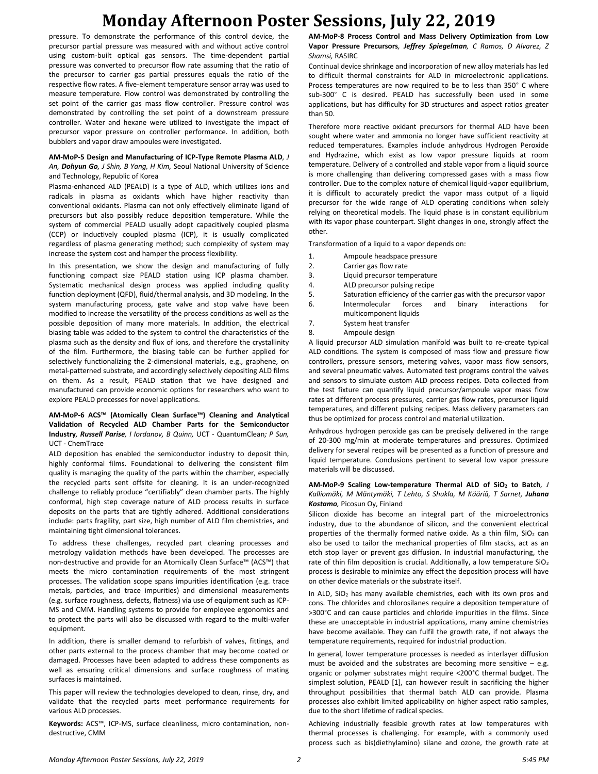## **Monday Afternoon Poster Sessions, July 22, 2019**

pressure. To demonstrate the performance of this control device, the precursor partial pressure was measured with and without active control using custom-built optical gas sensors. The time-dependent partial pressure was converted to precursor flow rate assuming that the ratio of the precursor to carrier gas partial pressures equals the ratio of the respective flow rates. A five-element temperature sensor array was used to measure temperature. Flow control was demonstrated by controlling the set point of the carrier gas mass flow controller. Pressure control was demonstrated by controlling the set point of a downstream pressure controller. Water and hexane were utilized to investigate the impact of precursor vapor pressure on controller performance. In addition, both bubblers and vapor draw ampoules were investigated.

#### **AM-MoP-5 Design and Manufacturing of ICP-Type Remote Plasma ALD***, J An, Dohyun Go, J Shin, B Yang, H Kim,* Seoul National University of Science and Technology, Republic of Korea

Plasma-enhanced ALD (PEALD) is a type of ALD, which utilizes ions and radicals in plasma as oxidants which have higher reactivity than conventional oxidants. Plasma can not only effectively eliminate ligand of precursors but also possibly reduce deposition temperature. While the system of commercial PEALD usually adopt capacitively coupled plasma (CCP) or inductively coupled plasma (ICP), it is usually complicated regardless of plasma generating method; such complexity of system may increase the system cost and hamper the process flexibility.

In this presentation, we show the design and manufacturing of fully functioning compact size PEALD station using ICP plasma chamber. Systematic mechanical design process was applied including quality function deployment (QFD), fluid/thermal analysis, and 3D modeling. In the system manufacturing process, gate valve and stop valve have been modified to increase the versatility of the process conditions as well as the possible deposition of many more materials. In addition, the electrical biasing table was added to the system to control the characteristics of the plasma such as the density and flux of ions, and therefore the crystallinity of the film. Furthermore, the biasing table can be further applied for selectively functionalizing the 2-dimensional materials, e.g., graphene, on metal-patterned substrate, and accordingly selectively depositing ALD films on them. As a result, PEALD station that we have designed and manufactured can provide economic options for researchers who want to explore PEALD processes for novel applications.

#### **AM-MoP-6 ACS™ (Atomically Clean Surface™) Cleaning and Analytical Validation of Recycled ALD Chamber Parts for the Semiconductor Industry***, Russell Parise, I Iordanov, B Quinn,* UCT - QuantumClean*; P Sun,*  UCT - ChemTrace

ALD deposition has enabled the semiconductor industry to deposit thin, highly conformal films. Foundational to delivering the consistent film quality is managing the quality of the parts within the chamber, especially the recycled parts sent offsite for cleaning. It is an under-recognized challenge to reliably produce "certifiably" clean chamber parts. The highly conformal, high step coverage nature of ALD process results in surface deposits on the parts that are tightly adhered. Additional considerations include: parts fragility, part size, high number of ALD film chemistries, and maintaining tight dimensional tolerances.

To address these challenges, recycled part cleaning processes and metrology validation methods have been developed. The processes are non-destructive and provide for an Atomically Clean Surface™ (ACS™) that meets the micro contamination requirements of the most stringent processes. The validation scope spans impurities identification (e.g. trace metals, particles, and trace impurities) and dimensional measurements (e.g. surface roughness, defects, flatness) via use of equipment such as ICP-MS and CMM. Handling systems to provide for employee ergonomics and to protect the parts will also be discussed with regard to the multi-wafer equipment.

In addition, there is smaller demand to refurbish of valves, fittings, and other parts external to the process chamber that may become coated or damaged. Processes have been adapted to address these components as well as ensuring critical dimensions and surface roughness of mating surfaces is maintained.

This paper will review the technologies developed to clean, rinse, dry, and validate that the recycled parts meet performance requirements for various ALD processes.

**Keywords:** ACS™, ICP-MS, surface cleanliness, micro contamination, nondestructive, CMM

**AM-MoP-8 Process Control and Mass Delivery Optimization from Low Vapor Pressure Precursors***, Jeffrey Spiegelman, C Ramos, D Alvarez, Z Shamsi,* RASIRC

Continual device shrinkage and incorporation of new alloy materials has led to difficult thermal constraints for ALD in microelectronic applications. Process temperatures are now required to be to less than 350° C where sub-300° C is desired. PEALD has successfully been used in some applications, but has difficulty for 3D structures and aspect ratios greater than 50.

Therefore more reactive oxidant precursors for thermal ALD have been sought where water and ammonia no longer have sufficient reactivity at reduced temperatures. Examples include anhydrous Hydrogen Peroxide and Hydrazine, which exist as low vapor pressure liquids at room temperature. Delivery of a controlled and stable vapor from a liquid source is more challenging than delivering compressed gases with a mass flow controller. Due to the complex nature of chemical liquid-vapor equilibrium, it is difficult to accurately predict the vapor mass output of a liquid precursor for the wide range of ALD operating conditions when solely relying on theoretical models. The liquid phase is in constant equilibrium with its vapor phase counterpart. Slight changes in one, strongly affect the other.

Transformation of a liquid to a vapor depends on:

- 1. Ampoule headspace pressure
- 2. Carrier gas flow rate
- 3. Liquid precursor temperature
- 4. ALD precursor pulsing recipe<br>5 Saturation efficiency of the ca
- Saturation efficiency of the carrier gas with the precursor vapor
- 6. Intermolecular forces and binary interactions for multicomponent liquids
- 7. System heat transfer
- 8. Ampoule design

A liquid precursor ALD simulation manifold was built to re-create typical ALD conditions. The system is composed of mass flow and pressure flow controllers, pressure sensors, metering valves, vapor mass flow sensors, and several pneumatic valves. Automated test programs control the valves and sensors to simulate custom ALD process recipes. Data collected from the test fixture can quantify liquid precursor/ampoule vapor mass flow rates at different process pressures, carrier gas flow rates, precursor liquid temperatures, and different pulsing recipes. Mass delivery parameters can thus be optimized for process control and material utilization.

Anhydrous hydrogen peroxide gas can be precisely delivered in the range of 20-300 mg/min at moderate temperatures and pressures. Optimized delivery for several recipes will be presented as a function of pressure and liquid temperature. Conclusions pertinent to several low vapor pressure materials will be discussed.

#### **AM-MoP-9 Scaling Low-temperature Thermal ALD of SiO<sup>2</sup> to Batch***, J Kalliomäki, M Mäntymäki, T Lehto, S Shukla, M Kääriä, T Sarnet, Juhana Kostamo,* Picosun Oy, Finland

Silicon dioxide has become an integral part of the microelectronics industry, due to the abundance of silicon, and the convenient electrical properties of the thermally formed native oxide. As a thin film,  $SiO<sub>2</sub>$  can also be used to tailor the mechanical properties of film stacks, act as an etch stop layer or prevent gas diffusion. In industrial manufacturing, the rate of thin film deposition is crucial. Additionally, a low temperature  $SiO<sub>2</sub>$ process is desirable to minimize any effect the deposition process will have on other device materials or the substrate itself.

In ALD,  $SiO<sub>2</sub>$  has many available chemistries, each with its own pros and cons. The chlorides and chlorosilanes require a deposition temperature of >300°C and can cause particles and chloride impurities in the films. Since these are unacceptable in industrial applications, many amine chemistries have become available. They can fulfil the growth rate, if not always the temperature requirements, required for industrial production.

In general, lower temperature processes is needed as interlayer diffusion must be avoided and the substrates are becoming more sensitive  $-$  e.g. organic or polymer substrates might require <200°C thermal budget. The simplest solution, PEALD [1], can however result in sacrificing the higher throughput possibilities that thermal batch ALD can provide. Plasma processes also exhibit limited applicability on higher aspect ratio samples, due to the short lifetime of radical species.

Achieving industrially feasible growth rates at low temperatures with thermal processes is challenging. For example, with a commonly used process such as bis(diethylamino) silane and ozone, the growth rate at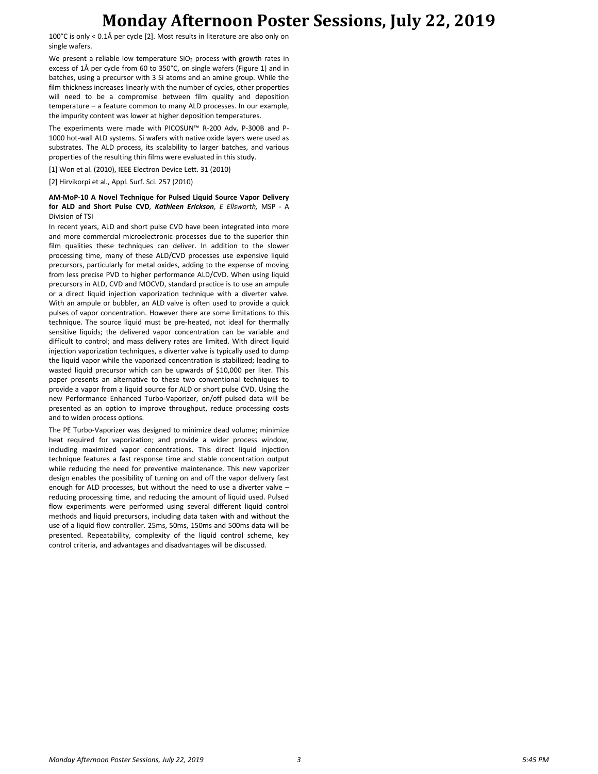## **Monday Afternoon Poster Sessions, July 22, 2019**

100°C is only < 0.1Å per cycle [2]. Most results in literature are also only on single wafers.

We present a reliable low temperature SiO<sub>2</sub> process with growth rates in excess of 1Å per cycle from 60 to 350°C, on single wafers (Figure 1) and in batches, using a precursor with 3 Si atoms and an amine group. While the film thickness increases linearly with the number of cycles, other properties will need to be a compromise between film quality and deposition temperature – a feature common to many ALD processes. In our example, the impurity content was lower at higher deposition temperatures.

The experiments were made with PICOSUN™ R-200 Adv, P-300B and P-1000 hot-wall ALD systems. Si wafers with native oxide layers were used as substrates. The ALD process, its scalability to larger batches, and various properties of the resulting thin films were evaluated in this study.

[1] Won et al. (2010), IEEE Electron Device Lett. 31 (2010)

[2] Hirvikorpi et al., Appl. Surf. Sci. 257 (2010)

#### **AM-MoP-10 A Novel Technique for Pulsed Liquid Source Vapor Delivery for ALD and Short Pulse CVD***, Kathleen Erickson, E Ellsworth,* MSP - A Division of TSI

In recent years, ALD and short pulse CVD have been integrated into more and more commercial microelectronic processes due to the superior thin film qualities these techniques can deliver. In addition to the slower processing time, many of these ALD/CVD processes use expensive liquid precursors, particularly for metal oxides, adding to the expense of moving from less precise PVD to higher performance ALD/CVD. When using liquid precursors in ALD, CVD and MOCVD, standard practice is to use an ampule or a direct liquid injection vaporization technique with a diverter valve. With an ampule or bubbler, an ALD valve is often used to provide a quick pulses of vapor concentration. However there are some limitations to this technique. The source liquid must be pre-heated, not ideal for thermally sensitive liquids; the delivered vapor concentration can be variable and difficult to control; and mass delivery rates are limited. With direct liquid injection vaporization techniques, a diverter valve is typically used to dump the liquid vapor while the vaporized concentration is stabilized; leading to wasted liquid precursor which can be upwards of \$10,000 per liter. This paper presents an alternative to these two conventional techniques to provide a vapor from a liquid source for ALD or short pulse CVD. Using the new Performance Enhanced Turbo-Vaporizer, on/off pulsed data will be presented as an option to improve throughput, reduce processing costs and to widen process options.

The PE Turbo-Vaporizer was designed to minimize dead volume; minimize heat required for vaporization; and provide a wider process window, including maximized vapor concentrations. This direct liquid injection technique features a fast response time and stable concentration output while reducing the need for preventive maintenance. This new vaporizer design enables the possibility of turning on and off the vapor delivery fast enough for ALD processes, but without the need to use a diverter valve – reducing processing time, and reducing the amount of liquid used. Pulsed flow experiments were performed using several different liquid control methods and liquid precursors, including data taken with and without the use of a liquid flow controller. 25ms, 50ms, 150ms and 500ms data will be presented. Repeatability, complexity of the liquid control scheme, key control criteria, and advantages and disadvantages will be discussed.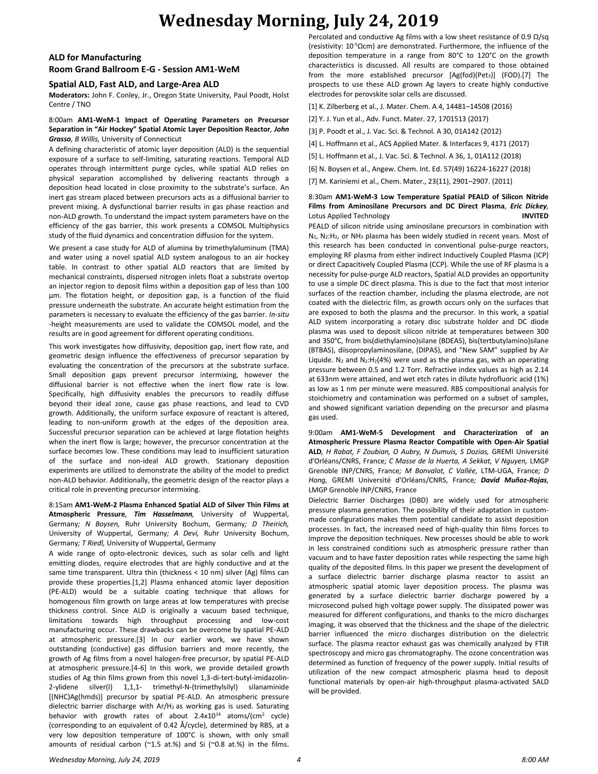# **Wednesday Morning, July 24, 2019**

### **ALD for Manufacturing Room Grand Ballroom E-G - Session AM1-WeM**

### **Spatial ALD, Fast ALD, and Large-Area ALD**

**Moderators:** John F. Conley, Jr., Oregon State University, Paul Poodt, Holst Centre / TNO

#### 8:00am **AM1-WeM-1 Impact of Operating Parameters on Precursor Separation in "Air Hockey" Spatial Atomic Layer Deposition Reactor***, John Grasso, B Willis,* University of Connecticut

A defining characteristic of atomic layer deposition (ALD) is the sequential exposure of a surface to self-limiting, saturating reactions. Temporal ALD operates through intermittent purge cycles, while spatial ALD relies on physical separation accomplished by delivering reactants through a deposition head located in close proximity to the substrate's surface. An inert gas stream placed between precursors acts as a diffusional barrier to prevent mixing. A dysfunctional barrier results in gas phase reaction and non-ALD growth. To understand the impact system parameters have on the efficiency of the gas barrier, this work presents a COMSOL Multiphysics study of the fluid dynamics and concentration diffusion for the system.

We present a case study for ALD of alumina by trimethylaluminum (TMA) and water using a novel spatial ALD system analogous to an air hockey table. In contrast to other spatial ALD reactors that are limited by mechanical constraints, dispersed nitrogen inlets float a substrate overtop an injector region to deposit films within a deposition gap of less than 100 μm. The flotation height, or deposition gap, is a function of the fluid pressure underneath the substrate. An accurate height estimation from the parameters is necessary to evaluate the efficiency of the gas barrier. *In-situ -*height measurements are used to validate the COMSOL model, and the results are in good agreement for different operating conditions.

This work investigates how diffusivity, deposition gap, inert flow rate, and geometric design influence the effectiveness of precursor separation by evaluating the concentration of the precursors at the substrate surface. Small deposition gaps prevent precursor intermixing, however the diffusional barrier is not effective when the inert flow rate is low. Specifically, high diffusivity enables the precursors to readily diffuse beyond their ideal zone, cause gas phase reactions, and lead to CVD growth. Additionally, the uniform surface exposure of reactant is altered, leading to non-uniform growth at the edges of the deposition area. Successful precursor separation can be achieved at large flotation heights when the inert flow is large; however, the precursor concentration at the surface becomes low. These conditions may lead to insufficient saturation of the surface and non-ideal ALD growth. Stationary deposition experiments are utilized to demonstrate the ability of the model to predict non-ALD behavior. Additionally, the geometric design of the reactor plays a critical role in preventing precursor intermixing.

#### 8:15am **AM1-WeM-2 Plasma Enhanced Spatial ALD of Silver Thin Films at Atmospheric Pressure***, Tim Hasselmann,* University of Wuppertal, Germany*; N Boysen,* Ruhr University Bochum, Germany*; D Theirich,*  University of Wuppertal, Germany*; A Devi,* Ruhr University Bochum, Germany*; T Riedl,* University of Wuppertal, Germany

A wide range of opto-electronic devices, such as solar cells and light emitting diodes, require electrodes that are highly conductive and at the same time transparent. Ultra thin (thickness < 10 nm) silver (Ag) films can provide these properties.[1,2] Plasma enhanced atomic layer deposition (PE-ALD) would be a suitable coating technique that allows for homogenous film growth on large areas at low temperatures with precise thickness control. Since ALD is originally a vacuum based technique, limitations towards high throughput processing and low-cost manufacturing occur. These drawbacks can be overcome by spatial PE-ALD at atmospheric pressure.[3] In our earlier work, we have shown outstanding (conductive) gas diffusion barriers and more recently, the growth of Ag films from a novel halogen-free precursor, by spatial PE-ALD at atmospheric pressure.[4-6] In this work, we provide detailed growth studies of Ag thin films grown from this novel 1,3-di-tert-butyl-imidazolin-2-ylidene silver(I) 1,1,1- trimethyl-N-(trimethylsilyl) silanaminide [(NHC)Ag(hmds)] precursor by spatial PE-ALD. An atmospheric pressure dielectric barrier discharge with  $Ar/H<sub>2</sub>$  as working gas is used. Saturating behavior with growth rates of about 2.4x10<sup>14</sup> atoms/(cm<sup>2</sup> cycle) (corresponding to an equivalent of 0.42 Å/cycle), determined by RBS, at a very low deposition temperature of 100°C is shown, with only small amounts of residual carbon ( $\approx$ 1.5 at.%) and Si ( $\approx$ 0.8 at.%) in the films.

Percolated and conductive Ag films with a low sheet resistance of 0.9  $\Omega$ /sq (resistivity: 10-5Ωcm) are demonstrated. Furthermore, the influence of the deposition temperature in a range from 80°C to 120°C on the growth characteristics is discussed. All results are compared to those obtained from the more established precursor [Ag(fod)(Pet<sub>3</sub>)] (FOD).[7] The prospects to use these ALD grown Ag layers to create highly conductive electrodes for perovskite solar cells are discussed.

[1] K. Zilberberg et al., J. Mater. Chem. A 4, 14481–14508 (2016)

[2] Y. J. Yun et al., Adv. Funct. Mater. 27, 1701513 (2017)

[3] P. Poodt et al., J. Vac. Sci. & Technol. A 30, 01A142 (2012)

[4] L. Hoffmann et al., ACS Applied Mater. & Interfaces 9, 4171 (2017)

[5] L. Hoffmann et al., J. Vac. Sci. & Technol. A 36, 1, 01A112 (2018)

[6] N. Boysen et al., Angew. Chem. Int. Ed. 57(49) 16224-16227 (2018)

[7] M. Kariniemi et al., Chem. Mater., 23(11), 2901–2907. (2011)

#### 8:30am **AM1-WeM-3 Low Temperature Spatial PEALD of Silicon Nitride Films from Aminosilane Precursors and DC Direct Plasma***, Eric Dickey,*  Lotus Applied Technology **INVITED**

PEALD of silicon nitride using aminosilane precursors in combination with N<sub>2</sub>, N<sub>2</sub>:H<sub>2</sub>, or NH<sub>3</sub> plasma has been widely studied in recent years. Most of this research has been conducted in conventional pulse-purge reactors, employing RF plasma from either indirect Inductively Coupled Plasma (ICP) or direct Capacitively Coupled Plasma (CCP). While the use of RF plasma is a necessity for pulse-purge ALD reactors, Spatial ALD provides an opportunity to use a simple DC direct plasma. This is due to the fact that most interior surfaces of the reaction chamber, including the plasma electrode, are not coated with the dielectric film, as growth occurs only on the surfaces that are exposed to both the plasma and the precursor. In this work, a spatial ALD system incorporating a rotary disc substrate holder and DC diode plasma was used to deposit silicon nitride at temperatures between 300 and 350°C, from bis(diethylamino)silane (BDEAS), bis(tertbutylamino)silane (BTBAS), diisopropylaminosilane, (DIPAS), and "New SAM" supplied by Air Liquide. N<sub>2</sub> and N<sub>2</sub>:H<sub>2</sub>(4%) were used as the plasma gas, with an operating pressure between 0.5 and 1.2 Torr. Refractive index values as high as 2.14 at 633nm were attained, and wet etch rates in dilute hydrofluoric acid (1%) as low as 1 nm per minute were measured. RBS compositional analysis for stoichiometry and contamination was performed on a subset of samples, and showed significant variation depending on the precursor and plasma gas used.

9:00am **AM1-WeM-5 Development and Characterization of an Atmospheric Pressure Plasma Reactor Compatible with Open-Air Spatial ALD***, H Rabat, F Zoubian, O Aubry, N Dumuis, S Dozias,* GREMI Université d'Orléans/CNRS, France*; C Masse de la Huerta, A Sekkat, V Nguyen,* LMGP Grenoble INP/CNRS, France*; M Bonvalot, C Vallée,* LTM-UGA, France*; D Hong,* GREMI Université d'Orléans/CNRS, France*; David Muñoz-Rojas,*  LMGP Grenoble INP/CNRS, France

Dielectric Barrier Discharges (DBD) are widely used for atmospheric pressure plasma generation. The possibility of their adaptation in custommade configurations makes them potential candidate to assist deposition processes. In fact, the increased need of high-quality thin films forces to improve the deposition techniques. New processes should be able to work in less constrained conditions such as atmospheric pressure rather than vacuum and to have faster deposition rates while respecting the same high quality of the deposited films. In this paper we present the development of a surface dielectric barrier discharge plasma reactor to assist an atmospheric spatial atomic layer deposition process. The plasma was generated by a surface dielectric barrier discharge powered by a microsecond pulsed high voltage power supply. The dissipated power was measured for different configurations, and thanks to the micro discharges imaging, it was observed that the thickness and the shape of the dielectric barrier influenced the micro discharges distribution on the dielectric surface. The plasma reactor exhaust gas was chemically analyzed by FTIR spectroscopy and micro gas chromatography. The ozone concentration was determined as function of frequency of the power supply. Initial results of utilization of the new compact atmospheric plasma head to deposit functional materials by open-air high-throughput plasma-activated SALD will be provided.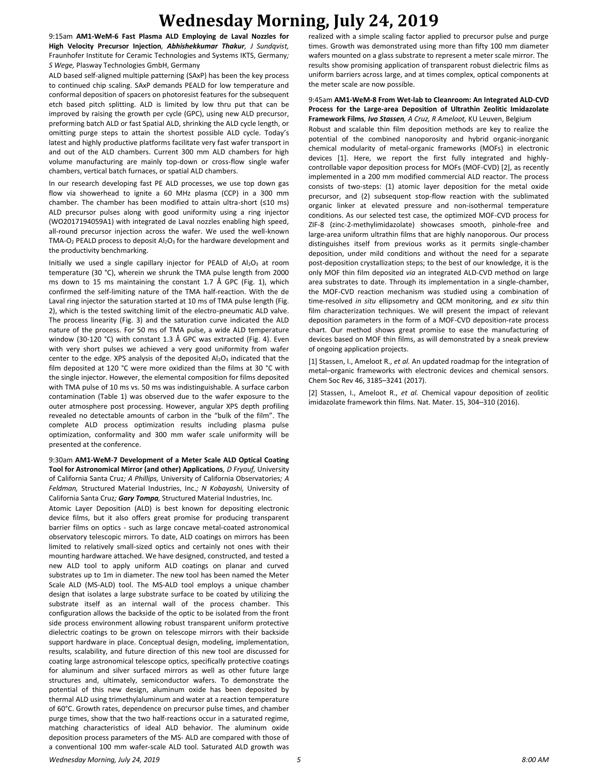## **Wednesday Morning, July 24, 2019**

9:15am **AM1-WeM-6 Fast Plasma ALD Employing de Laval Nozzles for High Velocity Precursor Injection***, Abhishekkumar Thakur, J Sundqvist,*  Fraunhofer Institute for Ceramic Technologies and Systems IKTS, Germany*; S Wege,* Plasway Technologies GmbH, Germany

ALD based self-aligned multiple patterning (SAxP) has been the key process to continued chip scaling. SAxP demands PEALD for low temperature and conformal deposition of spacers on photoresist features for the subsequent etch based pitch splitting. ALD is limited by low thru put that can be improved by raising the growth per cycle (GPC), using new ALD precursor, preforming batch ALD or fast Spatial ALD, shrinking the ALD cycle length, or omitting purge steps to attain the shortest possible ALD cycle. Today's latest and highly productive platforms facilitate very fast wafer transport in and out of the ALD chambers. Current 300 mm ALD chambers for high volume manufacturing are mainly top-down or cross-flow single wafer chambers, vertical batch furnaces, or spatial ALD chambers.

In our research developing fast PE ALD processes, we use top down gas flow via showerhead to ignite a 60 MHz plasma (CCP) in a 300 mm chamber. The chamber has been modified to attain ultra-short (≤10 ms) ALD precursor pulses along with good uniformity using a ring injector (WO2017194059A1) with integrated de Laval nozzles enabling high speed, all-round precursor injection across the wafer. We used the well-known TMA-O<sub>2</sub> PEALD process to deposit  $Al_2O_3$  for the hardware development and the productivity benchmarking.

Initially we used a single capillary injector for PEALD of  $Al_2O_3$  at room temperature (30 °C), wherein we shrunk the TMA pulse length from 2000 ms down to 15 ms maintaining the constant 1.7 Å GPC (Fig. 1), which confirmed the self-limiting nature of the TMA half-reaction. With the de Laval ring injector the saturation started at 10 ms of TMA pulse length (Fig. 2), which is the tested switching limit of the electro-pneumatic ALD valve. The process linearity (Fig. 3) and the saturation curve indicated the ALD nature of the process. For 50 ms of TMA pulse, a wide ALD temperature window (30-120 °C) with constant 1.3 Å GPC was extracted (Fig. 4). Even with very short pulses we achieved a very good uniformity from wafer center to the edge. XPS analysis of the deposited  $Al_2O_3$  indicated that the film deposited at 120 °C were more oxidized than the films at 30 °C with the single injector. However, the elemental composition for films deposited with TMA pulse of 10 ms vs. 50 ms was indistinguishable. A surface carbon contamination (Table 1) was observed due to the wafer exposure to the outer atmosphere post processing. However, angular XPS depth profiling revealed no detectable amounts of carbon in the "bulk of the film". The complete ALD process optimization results including plasma pulse optimization, conformality and 300 mm wafer scale uniformity will be presented at the conference.

9:30am **AM1-WeM-7 Development of a Meter Scale ALD Optical Coating Tool for Astronomical Mirror (and other) Applications***, D Fryauf,* University of California Santa Cruz*; A Phillips,* University of California Observatories*; A Feldman,* Structured Material Industries, Inc.*; N Kobayashi,* University of California Santa Cruz*; Gary Tompa,* Structured Material Industries, Inc.

Atomic Layer Deposition (ALD) is best known for depositing electronic device films, but it also offers great promise for producing transparent barrier films on optics - such as large concave metal-coated astronomical observatory telescopic mirrors. To date, ALD coatings on mirrors has been limited to relatively small-sized optics and certainly not ones with their mounting hardware attached. We have designed, constructed, and tested a new ALD tool to apply uniform ALD coatings on planar and curved substrates up to 1m in diameter. The new tool has been named the Meter Scale ALD (MS-ALD) tool. The MS-ALD tool employs a unique chamber design that isolates a large substrate surface to be coated by utilizing the substrate itself as an internal wall of the process chamber. This configuration allows the backside of the optic to be isolated from the front side process environment allowing robust transparent uniform protective dielectric coatings to be grown on telescope mirrors with their backside support hardware in place. Conceptual design, modeling, implementation, results, scalability, and future direction of this new tool are discussed for coating large astronomical telescope optics, specifically protective coatings for aluminum and silver surfaced mirrors as well as other future large structures and, ultimately, semiconductor wafers. To demonstrate the potential of this new design, aluminum oxide has been deposited by thermal ALD using trimethylaluminum and water at a reaction temperature of 60°C. Growth rates, dependence on precursor pulse times, and chamber purge times, show that the two half-reactions occur in a saturated regime, matching characteristics of ideal ALD behavior. The aluminum oxide deposition process parameters of the MS- ALD are compared with those of a conventional 100 mm wafer-scale ALD tool. Saturated ALD growth was

realized with a simple scaling factor applied to precursor pulse and purge times. Growth was demonstrated using more than fifty 100 mm diameter wafers mounted on a glass substrate to represent a meter scale mirror. The results show promising application of transparent robust dielectric films as uniform barriers across large, and at times complex, optical components at the meter scale are now possible.

#### 9:45am **AM1-WeM-8 From Wet-lab to Cleanroom: An Integrated ALD-CVD Process for the Large-area Deposition of Ultrathin Zeolitic Imidazolate Framework Films***, Ivo Stassen, A Cruz, R Ameloot,* KU Leuven, Belgium

Robust and scalable thin film deposition methods are key to realize the potential of the combined nanoporosity and hybrid organic-inorganic chemical modularity of metal-organic frameworks (MOFs) in electronic devices [1]. Here, we report the first fully integrated and highlycontrollable vapor deposition process for MOFs (MOF-CVD) [2], as recently implemented in a 200 mm modified commercial ALD reactor. The process consists of two-steps: (1) atomic layer deposition for the metal oxide precursor, and (2) subsequent stop-flow reaction with the sublimated organic linker at elevated pressure and non-isothermal temperature conditions. As our selected test case, the optimized MOF-CVD process for ZIF-8 (zinc-2-methylimidazolate) showcases smooth, pinhole-free and large-area uniform ultrathin films that are highly nanoporous. Our process distinguishes itself from previous works as it permits single-chamber deposition, under mild conditions and without the need for a separate post-deposition crystallization steps; to the best of our knowledge, it is the only MOF thin film deposited *via* an integrated ALD-CVD method on large area substrates to date. Through its implementation in a single-chamber, the MOF-CVD reaction mechanism was studied using a combination of time-resolved *in situ* ellipsometry and QCM monitoring, and *ex situ* thin film characterization techniques. We will present the impact of relevant deposition parameters in the form of a MOF-CVD deposition-rate process chart. Our method shows great promise to ease the manufacturing of devices based on MOF thin films, as will demonstrated by a sneak preview of ongoing application projects.

[1] Stassen, I., Ameloot R., *et al.* An updated roadmap for the integration of metal–organic frameworks with electronic devices and chemical sensors. Chem Soc Rev 46, 3185–3241 (2017).

[2] Stassen, I., Ameloot R., *et al.* Chemical vapour deposition of zeolitic imidazolate framework thin films. Nat. Mater. 15, 304–310 (2016).